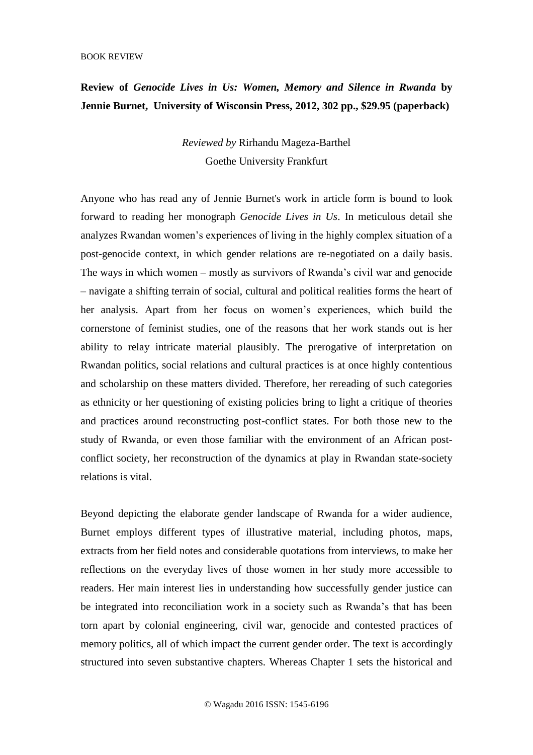## **Review of** *Genocide Lives in Us: Women, Memory and Silence in Rwanda* **by Jennie Burnet, University of Wisconsin Press, 2012, 302 pp., \$29.95 (paperback)**

*Reviewed by* Rirhandu Mageza-Barthel Goethe University Frankfurt

Anyone who has read any of Jennie Burnet's work in article form is bound to look forward to reading her monograph *Genocide Lives in Us*. In meticulous detail she analyzes Rwandan women's experiences of living in the highly complex situation of a post-genocide context, in which gender relations are re-negotiated on a daily basis. The ways in which women – mostly as survivors of Rwanda's civil war and genocide – navigate a shifting terrain of social, cultural and political realities forms the heart of her analysis. Apart from her focus on women's experiences, which build the cornerstone of feminist studies, one of the reasons that her work stands out is her ability to relay intricate material plausibly. The prerogative of interpretation on Rwandan politics, social relations and cultural practices is at once highly contentious and scholarship on these matters divided. Therefore, her rereading of such categories as ethnicity or her questioning of existing policies bring to light a critique of theories and practices around reconstructing post-conflict states. For both those new to the study of Rwanda, or even those familiar with the environment of an African postconflict society, her reconstruction of the dynamics at play in Rwandan state-society relations is vital.

Beyond depicting the elaborate gender landscape of Rwanda for a wider audience, Burnet employs different types of illustrative material, including photos, maps, extracts from her field notes and considerable quotations from interviews, to make her reflections on the everyday lives of those women in her study more accessible to readers. Her main interest lies in understanding how successfully gender justice can be integrated into reconciliation work in a society such as Rwanda's that has been torn apart by colonial engineering, civil war, genocide and contested practices of memory politics, all of which impact the current gender order. The text is accordingly structured into seven substantive chapters. Whereas Chapter 1 sets the historical and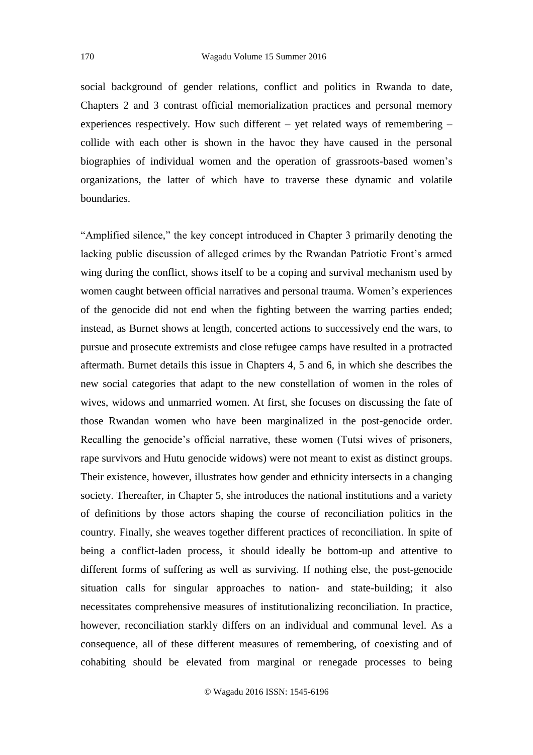social background of gender relations, conflict and politics in Rwanda to date, Chapters 2 and 3 contrast official memorialization practices and personal memory experiences respectively. How such different – yet related ways of remembering – collide with each other is shown in the havoc they have caused in the personal biographies of individual women and the operation of grassroots-based women's organizations, the latter of which have to traverse these dynamic and volatile boundaries.

"Amplified silence," the key concept introduced in Chapter 3 primarily denoting the lacking public discussion of alleged crimes by the Rwandan Patriotic Front's armed wing during the conflict, shows itself to be a coping and survival mechanism used by women caught between official narratives and personal trauma. Women's experiences of the genocide did not end when the fighting between the warring parties ended; instead, as Burnet shows at length, concerted actions to successively end the wars, to pursue and prosecute extremists and close refugee camps have resulted in a protracted aftermath. Burnet details this issue in Chapters 4, 5 and 6, in which she describes the new social categories that adapt to the new constellation of women in the roles of wives, widows and unmarried women. At first, she focuses on discussing the fate of those Rwandan women who have been marginalized in the post-genocide order. Recalling the genocide's official narrative, these women (Tutsi wives of prisoners, rape survivors and Hutu genocide widows) were not meant to exist as distinct groups. Their existence, however, illustrates how gender and ethnicity intersects in a changing society. Thereafter, in Chapter 5, she introduces the national institutions and a variety of definitions by those actors shaping the course of reconciliation politics in the country. Finally, she weaves together different practices of reconciliation. In spite of being a conflict-laden process, it should ideally be bottom-up and attentive to different forms of suffering as well as surviving. If nothing else, the post-genocide situation calls for singular approaches to nation- and state-building; it also necessitates comprehensive measures of institutionalizing reconciliation. In practice, however, reconciliation starkly differs on an individual and communal level. As a consequence, all of these different measures of remembering, of coexisting and of cohabiting should be elevated from marginal or renegade processes to being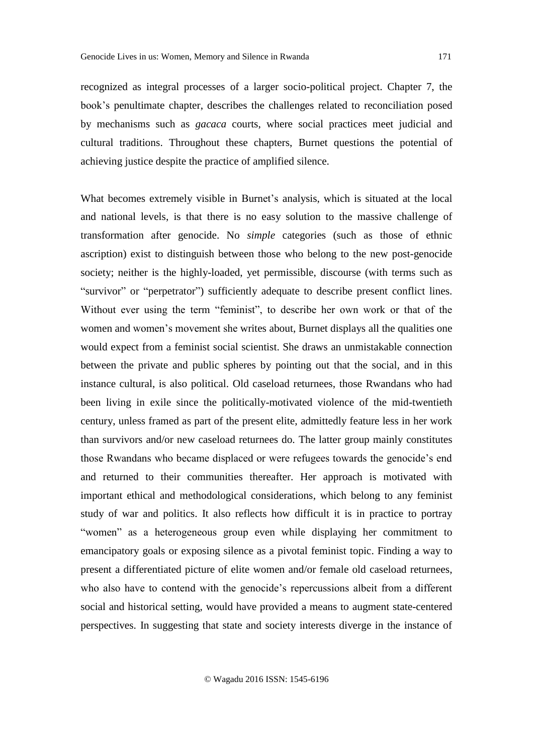recognized as integral processes of a larger socio-political project. Chapter 7, the book's penultimate chapter, describes the challenges related to reconciliation posed by mechanisms such as *gacaca* courts, where social practices meet judicial and cultural traditions. Throughout these chapters, Burnet questions the potential of achieving justice despite the practice of amplified silence.

What becomes extremely visible in Burnet's analysis, which is situated at the local and national levels, is that there is no easy solution to the massive challenge of transformation after genocide. No *simple* categories (such as those of ethnic ascription) exist to distinguish between those who belong to the new post-genocide society; neither is the highly-loaded, yet permissible, discourse (with terms such as "survivor" or "perpetrator") sufficiently adequate to describe present conflict lines. Without ever using the term "feminist", to describe her own work or that of the women and women's movement she writes about, Burnet displays all the qualities one would expect from a feminist social scientist. She draws an unmistakable connection between the private and public spheres by pointing out that the social, and in this instance cultural, is also political. Old caseload returnees, those Rwandans who had been living in exile since the politically-motivated violence of the mid-twentieth century, unless framed as part of the present elite, admittedly feature less in her work than survivors and/or new caseload returnees do. The latter group mainly constitutes those Rwandans who became displaced or were refugees towards the genocide's end and returned to their communities thereafter. Her approach is motivated with important ethical and methodological considerations, which belong to any feminist study of war and politics. It also reflects how difficult it is in practice to portray "women" as a heterogeneous group even while displaying her commitment to emancipatory goals or exposing silence as a pivotal feminist topic. Finding a way to present a differentiated picture of elite women and/or female old caseload returnees, who also have to contend with the genocide's repercussions albeit from a different social and historical setting, would have provided a means to augment state-centered perspectives. In suggesting that state and society interests diverge in the instance of

© Wagadu 2016 ISSN: 1545-6196